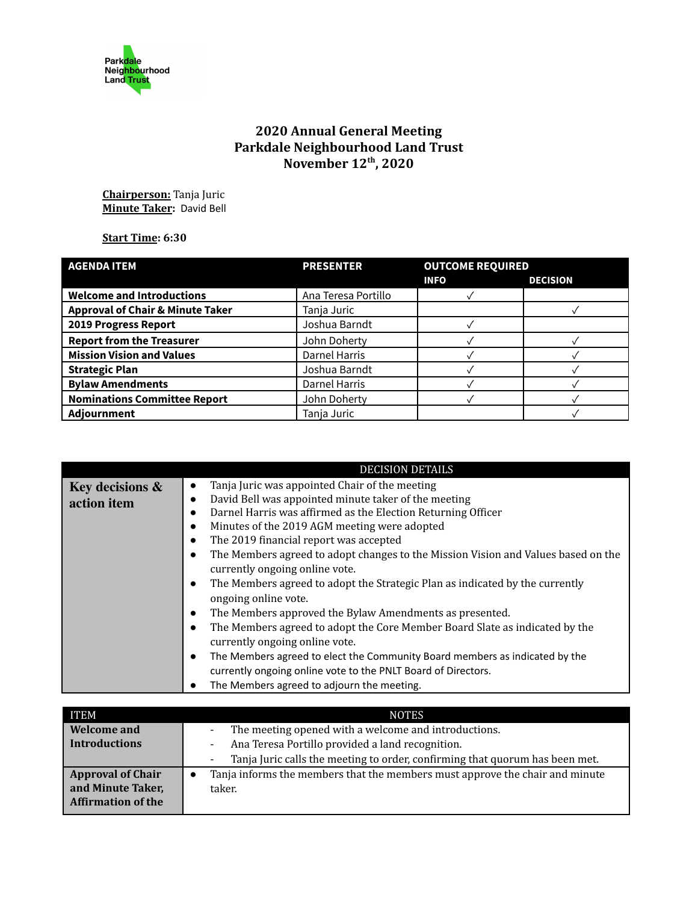

## **2020 Annual General Meeting Parkdale Neighbourhood Land Trust November 12th , 2020**

**Chairperson:** Tanja Juric **Minute Taker:** David Bell

## **Start Time: 6:30**

| <b>AGENDA ITEM</b>                          | <b>PRESENTER</b>     | <b>OUTCOME REQUIRED</b> |                 |
|---------------------------------------------|----------------------|-------------------------|-----------------|
|                                             |                      | <b>INFO</b>             | <b>DECISION</b> |
| <b>Welcome and Introductions</b>            | Ana Teresa Portillo  |                         |                 |
| <b>Approval of Chair &amp; Minute Taker</b> | Tanja Juric          |                         |                 |
| 2019 Progress Report                        | Joshua Barndt        |                         |                 |
| <b>Report from the Treasurer</b>            | John Doherty         |                         |                 |
| <b>Mission Vision and Values</b>            | <b>Darnel Harris</b> |                         |                 |
| <b>Strategic Plan</b>                       | Joshua Barndt        |                         |                 |
| <b>Bylaw Amendments</b>                     | <b>Darnel Harris</b> |                         |                 |
| <b>Nominations Committee Report</b>         | John Doherty         |                         |                 |
| Adjournment                                 | Tanja Juric          |                         |                 |

|                 | <b>DECISION DETAILS</b>                                                                  |
|-----------------|------------------------------------------------------------------------------------------|
| Key decisions & | Tanja Juric was appointed Chair of the meeting<br>٠                                      |
| action item     | David Bell was appointed minute taker of the meeting<br>$\bullet$                        |
|                 | Darnel Harris was affirmed as the Election Returning Officer                             |
|                 | Minutes of the 2019 AGM meeting were adopted                                             |
|                 | The 2019 financial report was accepted                                                   |
|                 | The Members agreed to adopt changes to the Mission Vision and Values based on the        |
|                 | currently ongoing online vote.                                                           |
|                 | The Members agreed to adopt the Strategic Plan as indicated by the currently             |
|                 | ongoing online vote.                                                                     |
|                 | The Members approved the Bylaw Amendments as presented.                                  |
|                 | The Members agreed to adopt the Core Member Board Slate as indicated by the              |
|                 | currently ongoing online vote.                                                           |
|                 | The Members agreed to elect the Community Board members as indicated by the<br>$\bullet$ |
|                 | currently ongoing online vote to the PNLT Board of Directors.                            |
|                 | The Members agreed to adjourn the meeting.                                               |
|                 |                                                                                          |
| <b>IDNDA</b>    | MATHO                                                                                    |

| <b>ITEM</b>               | <b>NOTES</b>                                                                                   |
|---------------------------|------------------------------------------------------------------------------------------------|
| <b>Welcome and</b>        | The meeting opened with a welcome and introductions.<br>$\overline{\phantom{a}}$               |
| <b>Introductions</b>      | Ana Teresa Portillo provided a land recognition.<br>$\overline{\phantom{a}}$                   |
|                           | Tanja Juric calls the meeting to order, confirming that quorum has been met.<br>$\blacksquare$ |
| <b>Approval of Chair</b>  | Tanja informs the members that the members must approve the chair and minute                   |
| and Minute Taker,         | taker.                                                                                         |
| <b>Affirmation of the</b> |                                                                                                |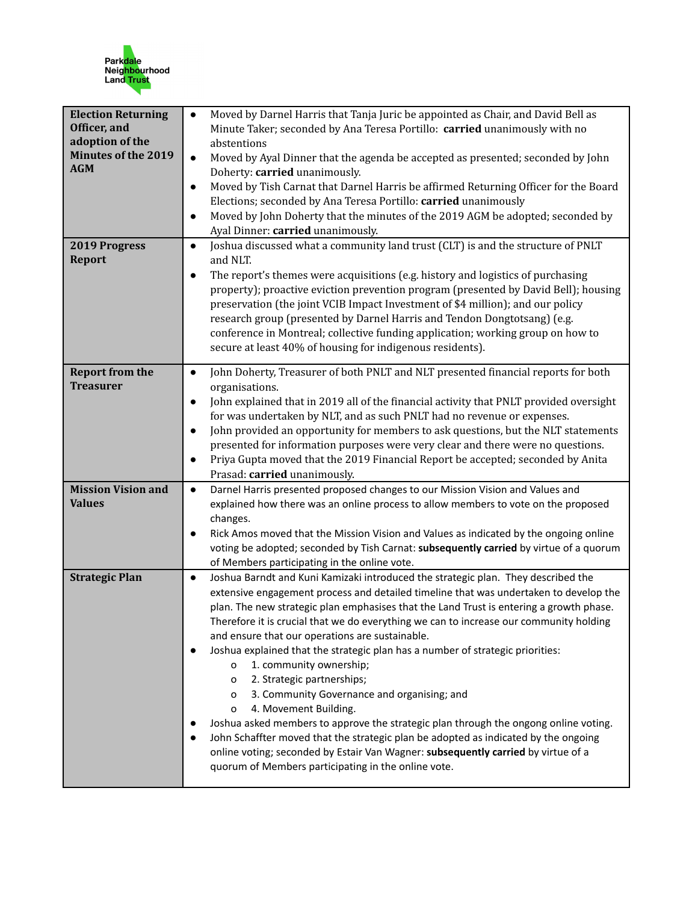

| <b>Election Returning</b><br>Officer, and<br>adoption of the<br><b>Minutes of the 2019</b><br><b>AGM</b> | Moved by Darnel Harris that Tanja Juric be appointed as Chair, and David Bell as<br>Minute Taker; seconded by Ana Teresa Portillo: carried unanimously with no<br>abstentions<br>Moved by Ayal Dinner that the agenda be accepted as presented; seconded by John<br>$\bullet$<br>Doherty: carried unanimously.<br>Moved by Tish Carnat that Darnel Harris be affirmed Returning Officer for the Board<br>$\bullet$<br>Elections; seconded by Ana Teresa Portillo: carried unanimously<br>Moved by John Doherty that the minutes of the 2019 AGM be adopted; seconded by<br>$\bullet$<br>Ayal Dinner: carried unanimously.                                                                                                                                                                                                                                                                                                                                                                         |
|----------------------------------------------------------------------------------------------------------|---------------------------------------------------------------------------------------------------------------------------------------------------------------------------------------------------------------------------------------------------------------------------------------------------------------------------------------------------------------------------------------------------------------------------------------------------------------------------------------------------------------------------------------------------------------------------------------------------------------------------------------------------------------------------------------------------------------------------------------------------------------------------------------------------------------------------------------------------------------------------------------------------------------------------------------------------------------------------------------------------|
| 2019 Progress<br><b>Report</b>                                                                           | Joshua discussed what a community land trust (CLT) is and the structure of PNLT<br>$\bullet$<br>and NLT.<br>The report's themes were acquisitions (e.g. history and logistics of purchasing<br>$\bullet$<br>property); proactive eviction prevention program (presented by David Bell); housing<br>preservation (the joint VCIB Impact Investment of \$4 million); and our policy<br>research group (presented by Darnel Harris and Tendon Dongtotsang) (e.g.<br>conference in Montreal; collective funding application; working group on how to<br>secure at least 40% of housing for indigenous residents).                                                                                                                                                                                                                                                                                                                                                                                     |
| <b>Report from the</b><br><b>Treasurer</b>                                                               | John Doherty, Treasurer of both PNLT and NLT presented financial reports for both<br>$\bullet$<br>organisations.<br>John explained that in 2019 all of the financial activity that PNLT provided oversight<br>$\bullet$<br>for was undertaken by NLT, and as such PNLT had no revenue or expenses.<br>John provided an opportunity for members to ask questions, but the NLT statements<br>$\bullet$<br>presented for information purposes were very clear and there were no questions.<br>Priya Gupta moved that the 2019 Financial Report be accepted; seconded by Anita<br>Prasad: carried unanimously.                                                                                                                                                                                                                                                                                                                                                                                        |
| <b>Mission Vision and</b><br><b>Values</b>                                                               | Darnel Harris presented proposed changes to our Mission Vision and Values and<br>$\bullet$<br>explained how there was an online process to allow members to vote on the proposed<br>changes.<br>Rick Amos moved that the Mission Vision and Values as indicated by the ongoing online<br>$\bullet$<br>voting be adopted; seconded by Tish Carnat: subsequently carried by virtue of a quorum<br>of Members participating in the online vote.                                                                                                                                                                                                                                                                                                                                                                                                                                                                                                                                                      |
| <b>Strategic Plan</b>                                                                                    | Joshua Barndt and Kuni Kamizaki introduced the strategic plan. They described the<br>$\bullet$<br>extensive engagement process and detailed timeline that was undertaken to develop the<br>plan. The new strategic plan emphasises that the Land Trust is entering a growth phase.<br>Therefore it is crucial that we do everything we can to increase our community holding<br>and ensure that our operations are sustainable.<br>Joshua explained that the strategic plan has a number of strategic priorities:<br>1. community ownership;<br>o<br>2. Strategic partnerships;<br>0<br>3. Community Governance and organising; and<br>0<br>4. Movement Building.<br>o<br>Joshua asked members to approve the strategic plan through the ongong online voting.<br>John Schaffter moved that the strategic plan be adopted as indicated by the ongoing<br>online voting; seconded by Estair Van Wagner: subsequently carried by virtue of a<br>quorum of Members participating in the online vote. |